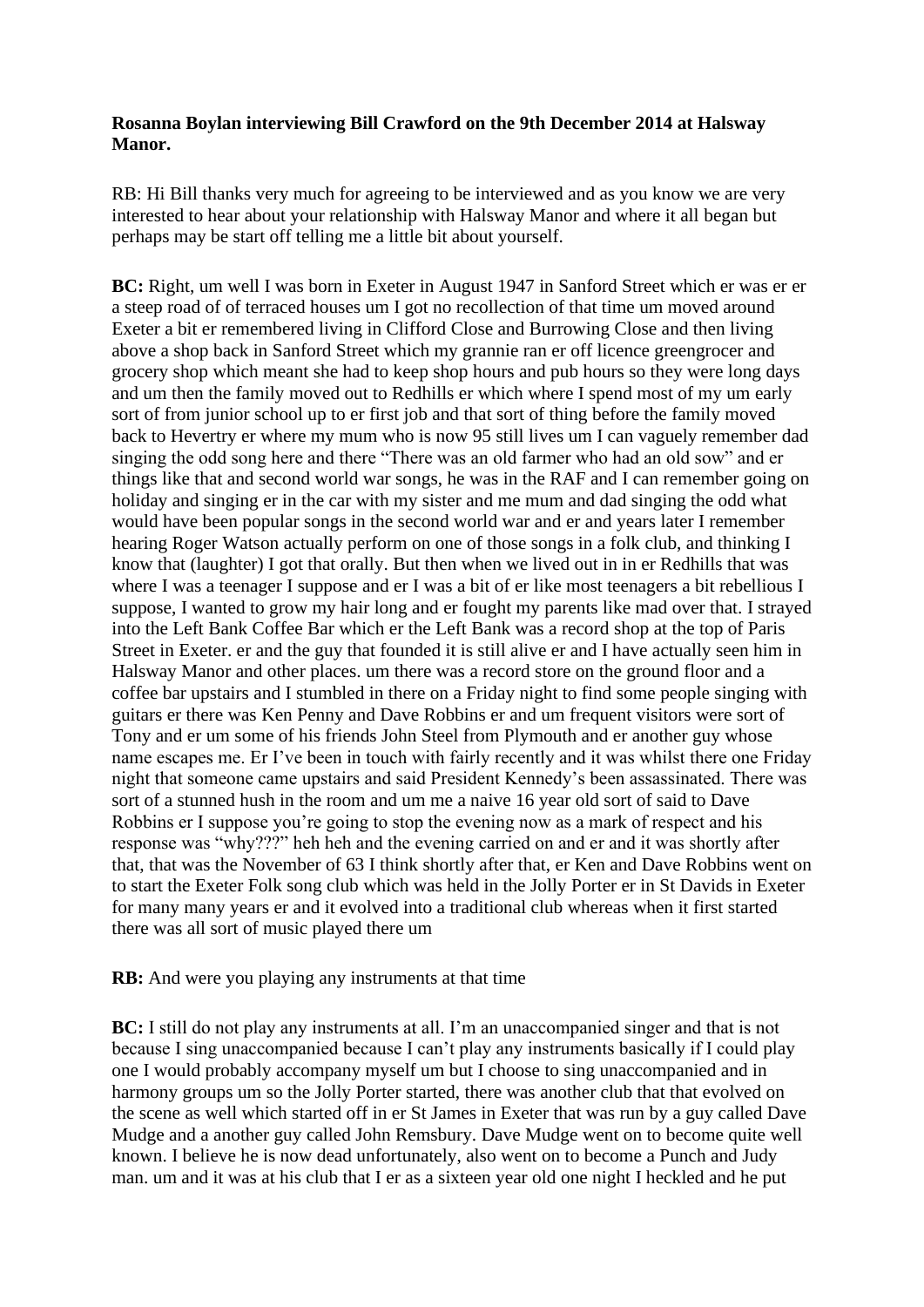## **Rosanna Boylan interviewing Bill Crawford on the 9th December 2014 at Halsway Manor.**

RB: Hi Bill thanks very much for agreeing to be interviewed and as you know we are very interested to hear about your relationship with Halsway Manor and where it all began but perhaps may be start off telling me a little bit about yourself.

**BC:** Right, um well I was born in Exeter in August 1947 in Sanford Street which er was er er a steep road of of terraced houses um I got no recollection of that time um moved around Exeter a bit er remembered living in Clifford Close and Burrowing Close and then living above a shop back in Sanford Street which my grannie ran er off licence greengrocer and grocery shop which meant she had to keep shop hours and pub hours so they were long days and um then the family moved out to Redhills er which where I spend most of my um early sort of from junior school up to er first job and that sort of thing before the family moved back to Hevertry er where my mum who is now 95 still lives um I can vaguely remember dad singing the odd song here and there "There was an old farmer who had an old sow" and er things like that and second world war songs, he was in the RAF and I can remember going on holiday and singing er in the car with my sister and me mum and dad singing the odd what would have been popular songs in the second world war and er and years later I remember hearing Roger Watson actually perform on one of those songs in a folk club, and thinking I know that (laughter) I got that orally. But then when we lived out in in er Redhills that was where I was a teenager I suppose and er I was a bit of er like most teenagers a bit rebellious I suppose, I wanted to grow my hair long and er fought my parents like mad over that. I strayed into the Left Bank Coffee Bar which er the Left Bank was a record shop at the top of Paris Street in Exeter. er and the guy that founded it is still alive er and I have actually seen him in Halsway Manor and other places. um there was a record store on the ground floor and a coffee bar upstairs and I stumbled in there on a Friday night to find some people singing with guitars er there was Ken Penny and Dave Robbins er and um frequent visitors were sort of Tony and er um some of his friends John Steel from Plymouth and er another guy whose name escapes me. Er I've been in touch with fairly recently and it was whilst there one Friday night that someone came upstairs and said President Kennedy's been assassinated. There was sort of a stunned hush in the room and um me a naive 16 year old sort of said to Dave Robbins er I suppose you're going to stop the evening now as a mark of respect and his response was "why???" heh heh and the evening carried on and er and it was shortly after that, that was the November of 63 I think shortly after that, er Ken and Dave Robbins went on to start the Exeter Folk song club which was held in the Jolly Porter er in St Davids in Exeter for many many years er and it evolved into a traditional club whereas when it first started there was all sort of music played there um

**RB:** And were you playing any instruments at that time

**BC:** I still do not play any instruments at all. I'm an unaccompanied singer and that is not because I sing unaccompanied because I can't play any instruments basically if I could play one I would probably accompany myself um but I choose to sing unaccompanied and in harmony groups um so the Jolly Porter started, there was another club that that evolved on the scene as well which started off in er St James in Exeter that was run by a guy called Dave Mudge and a another guy called John Remsbury. Dave Mudge went on to become quite well known. I believe he is now dead unfortunately, also went on to become a Punch and Judy man. um and it was at his club that I er as a sixteen year old one night I heckled and he put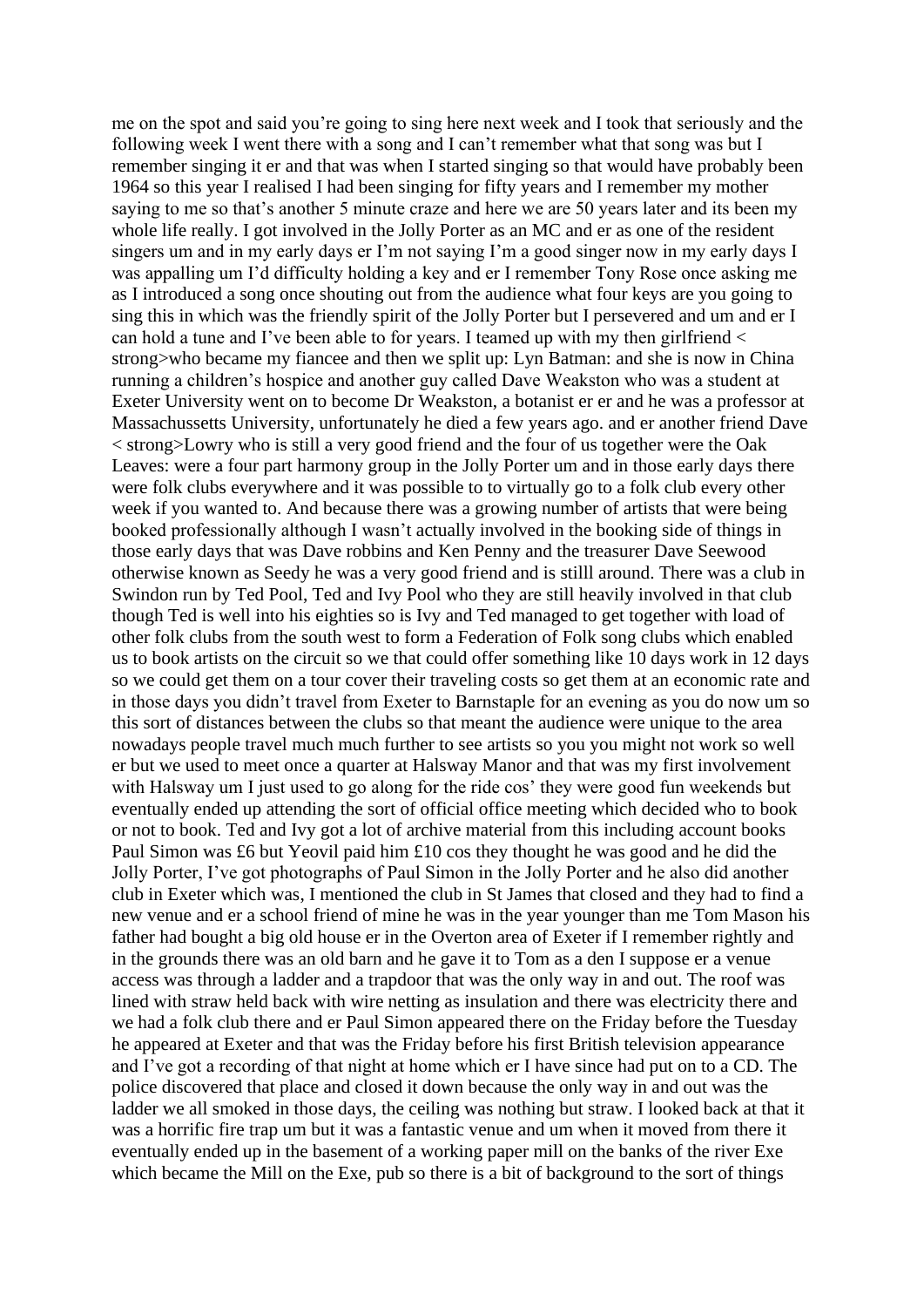me on the spot and said you're going to sing here next week and I took that seriously and the following week I went there with a song and I can't remember what that song was but I remember singing it er and that was when I started singing so that would have probably been 1964 so this year I realised I had been singing for fifty years and I remember my mother saying to me so that's another 5 minute craze and here we are 50 years later and its been my whole life really. I got involved in the Jolly Porter as an MC and er as one of the resident singers um and in my early days er I'm not saying I'm a good singer now in my early days I was appalling um I'd difficulty holding a key and er I remember Tony Rose once asking me as I introduced a song once shouting out from the audience what four keys are you going to sing this in which was the friendly spirit of the Jolly Porter but I persevered and um and er I can hold a tune and I've been able to for years. I teamed up with my then girlfriend < strong>who became my fiancee and then we split up: Lyn Batman: and she is now in China running a children's hospice and another guy called Dave Weakston who was a student at Exeter University went on to become Dr Weakston, a botanist er er and he was a professor at Massachussetts University, unfortunately he died a few years ago. and er another friend Dave < strong>Lowry who is still a very good friend and the four of us together were the Oak Leaves: were a four part harmony group in the Jolly Porter um and in those early days there were folk clubs everywhere and it was possible to to virtually go to a folk club every other week if you wanted to. And because there was a growing number of artists that were being booked professionally although I wasn't actually involved in the booking side of things in those early days that was Dave robbins and Ken Penny and the treasurer Dave Seewood otherwise known as Seedy he was a very good friend and is stilll around. There was a club in Swindon run by Ted Pool, Ted and Ivy Pool who they are still heavily involved in that club though Ted is well into his eighties so is Ivy and Ted managed to get together with load of other folk clubs from the south west to form a Federation of Folk song clubs which enabled us to book artists on the circuit so we that could offer something like 10 days work in 12 days so we could get them on a tour cover their traveling costs so get them at an economic rate and in those days you didn't travel from Exeter to Barnstaple for an evening as you do now um so this sort of distances between the clubs so that meant the audience were unique to the area nowadays people travel much much further to see artists so you you might not work so well er but we used to meet once a quarter at Halsway Manor and that was my first involvement with Halsway um I just used to go along for the ride cos' they were good fun weekends but eventually ended up attending the sort of official office meeting which decided who to book or not to book. Ted and Ivy got a lot of archive material from this including account books Paul Simon was £6 but Yeovil paid him £10 cos they thought he was good and he did the Jolly Porter, I've got photographs of Paul Simon in the Jolly Porter and he also did another club in Exeter which was, I mentioned the club in St James that closed and they had to find a new venue and er a school friend of mine he was in the year younger than me Tom Mason his father had bought a big old house er in the Overton area of Exeter if I remember rightly and in the grounds there was an old barn and he gave it to Tom as a den I suppose er a venue access was through a ladder and a trapdoor that was the only way in and out. The roof was lined with straw held back with wire netting as insulation and there was electricity there and we had a folk club there and er Paul Simon appeared there on the Friday before the Tuesday he appeared at Exeter and that was the Friday before his first British television appearance and I've got a recording of that night at home which er I have since had put on to a CD. The police discovered that place and closed it down because the only way in and out was the ladder we all smoked in those days, the ceiling was nothing but straw. I looked back at that it was a horrific fire trap um but it was a fantastic venue and um when it moved from there it eventually ended up in the basement of a working paper mill on the banks of the river Exe which became the Mill on the Exe, pub so there is a bit of background to the sort of things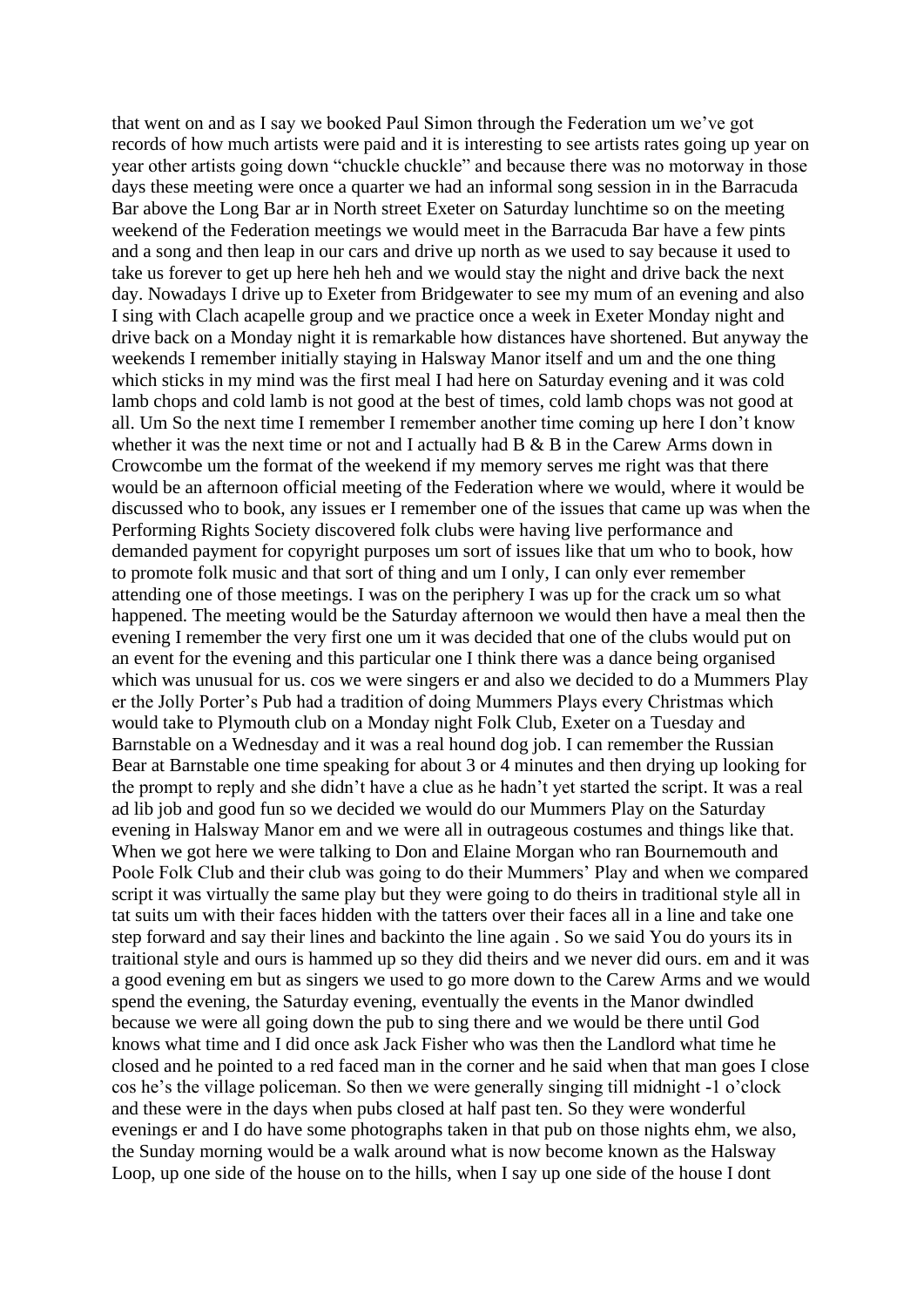that went on and as I say we booked Paul Simon through the Federation um we've got records of how much artists were paid and it is interesting to see artists rates going up year on year other artists going down "chuckle chuckle" and because there was no motorway in those days these meeting were once a quarter we had an informal song session in in the Barracuda Bar above the Long Bar ar in North street Exeter on Saturday lunchtime so on the meeting weekend of the Federation meetings we would meet in the Barracuda Bar have a few pints and a song and then leap in our cars and drive up north as we used to say because it used to take us forever to get up here heh heh and we would stay the night and drive back the next day. Nowadays I drive up to Exeter from Bridgewater to see my mum of an evening and also I sing with Clach acapelle group and we practice once a week in Exeter Monday night and drive back on a Monday night it is remarkable how distances have shortened. But anyway the weekends I remember initially staying in Halsway Manor itself and um and the one thing which sticks in my mind was the first meal I had here on Saturday evening and it was cold lamb chops and cold lamb is not good at the best of times, cold lamb chops was not good at all. Um So the next time I remember I remember another time coming up here I don't know whether it was the next time or not and I actually had B & B in the Carew Arms down in Crowcombe um the format of the weekend if my memory serves me right was that there would be an afternoon official meeting of the Federation where we would, where it would be discussed who to book, any issues er I remember one of the issues that came up was when the Performing Rights Society discovered folk clubs were having live performance and demanded payment for copyright purposes um sort of issues like that um who to book, how to promote folk music and that sort of thing and um I only, I can only ever remember attending one of those meetings. I was on the periphery I was up for the crack um so what happened. The meeting would be the Saturday afternoon we would then have a meal then the evening I remember the very first one um it was decided that one of the clubs would put on an event for the evening and this particular one I think there was a dance being organised which was unusual for us. cos we were singers er and also we decided to do a Mummers Play er the Jolly Porter's Pub had a tradition of doing Mummers Plays every Christmas which would take to Plymouth club on a Monday night Folk Club, Exeter on a Tuesday and Barnstable on a Wednesday and it was a real hound dog job. I can remember the Russian Bear at Barnstable one time speaking for about 3 or 4 minutes and then drying up looking for the prompt to reply and she didn't have a clue as he hadn't yet started the script. It was a real ad lib job and good fun so we decided we would do our Mummers Play on the Saturday evening in Halsway Manor em and we were all in outrageous costumes and things like that. When we got here we were talking to Don and Elaine Morgan who ran Bournemouth and Poole Folk Club and their club was going to do their Mummers' Play and when we compared script it was virtually the same play but they were going to do theirs in traditional style all in tat suits um with their faces hidden with the tatters over their faces all in a line and take one step forward and say their lines and backinto the line again . So we said You do yours its in traitional style and ours is hammed up so they did theirs and we never did ours. em and it was a good evening em but as singers we used to go more down to the Carew Arms and we would spend the evening, the Saturday evening, eventually the events in the Manor dwindled because we were all going down the pub to sing there and we would be there until God knows what time and I did once ask Jack Fisher who was then the Landlord what time he closed and he pointed to a red faced man in the corner and he said when that man goes I close cos he's the village policeman. So then we were generally singing till midnight -1 o'clock and these were in the days when pubs closed at half past ten. So they were wonderful evenings er and I do have some photographs taken in that pub on those nights ehm, we also, the Sunday morning would be a walk around what is now become known as the Halsway Loop, up one side of the house on to the hills, when I say up one side of the house I dont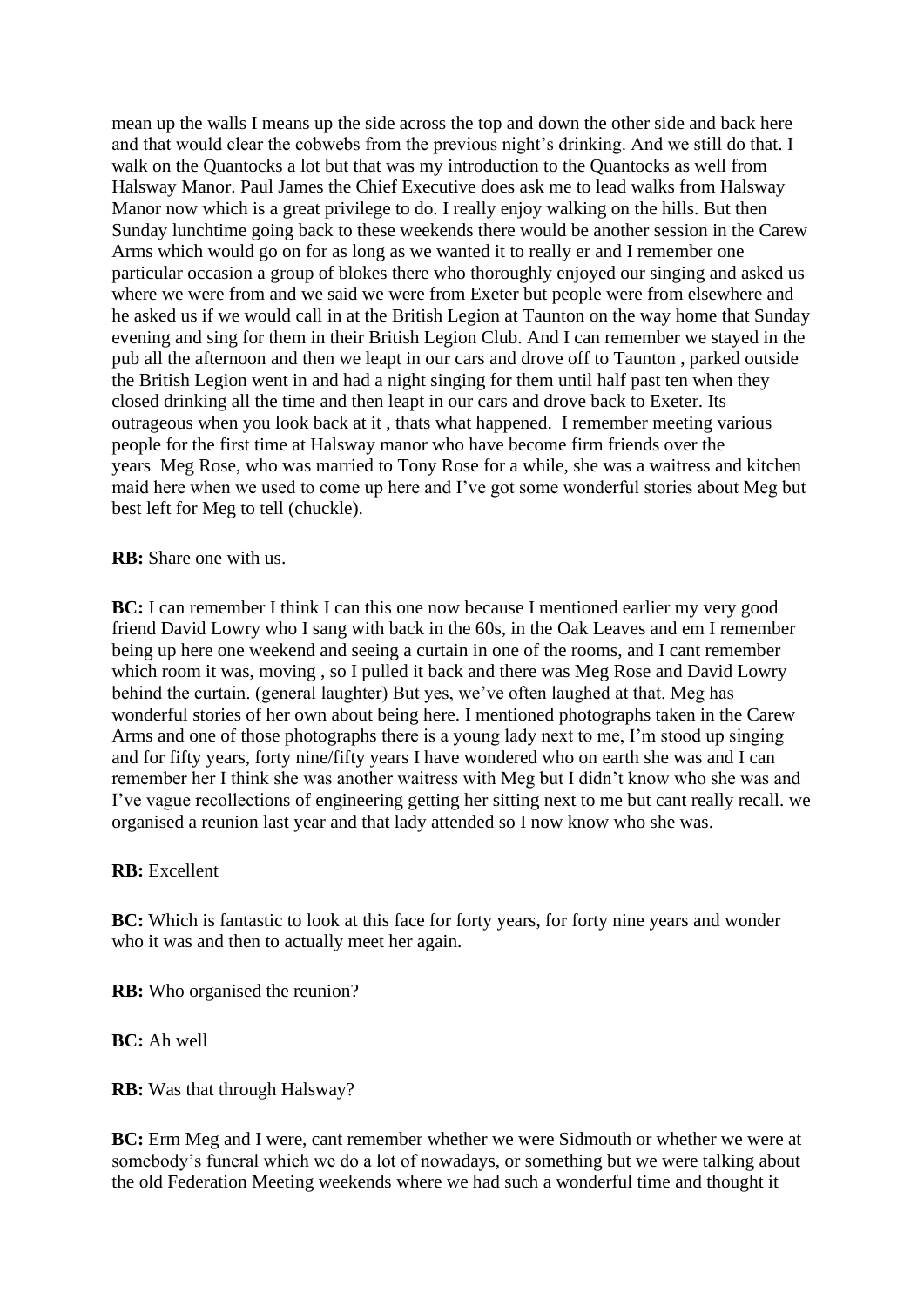mean up the walls I means up the side across the top and down the other side and back here and that would clear the cobwebs from the previous night's drinking. And we still do that. I walk on the Quantocks a lot but that was my introduction to the Quantocks as well from Halsway Manor. Paul James the Chief Executive does ask me to lead walks from Halsway Manor now which is a great privilege to do. I really enjoy walking on the hills. But then Sunday lunchtime going back to these weekends there would be another session in the Carew Arms which would go on for as long as we wanted it to really er and I remember one particular occasion a group of blokes there who thoroughly enjoyed our singing and asked us where we were from and we said we were from Exeter but people were from elsewhere and he asked us if we would call in at the British Legion at Taunton on the way home that Sunday evening and sing for them in their British Legion Club. And I can remember we stayed in the pub all the afternoon and then we leapt in our cars and drove off to Taunton , parked outside the British Legion went in and had a night singing for them until half past ten when they closed drinking all the time and then leapt in our cars and drove back to Exeter. Its outrageous when you look back at it , thats what happened. I remember meeting various people for the first time at Halsway manor who have become firm friends over the years Meg Rose, who was married to Tony Rose for a while, she was a waitress and kitchen maid here when we used to come up here and I've got some wonderful stories about Meg but best left for Meg to tell (chuckle).

## **RB:** Share one with us.

**BC:** I can remember I think I can this one now because I mentioned earlier my very good friend David Lowry who I sang with back in the 60s, in the Oak Leaves and em I remember being up here one weekend and seeing a curtain in one of the rooms, and I cant remember which room it was, moving , so I pulled it back and there was Meg Rose and David Lowry behind the curtain. (general laughter) But yes, we've often laughed at that. Meg has wonderful stories of her own about being here. I mentioned photographs taken in the Carew Arms and one of those photographs there is a young lady next to me, I'm stood up singing and for fifty years, forty nine/fifty years I have wondered who on earth she was and I can remember her I think she was another waitress with Meg but I didn't know who she was and I've vague recollections of engineering getting her sitting next to me but cant really recall. we organised a reunion last year and that lady attended so I now know who she was.

## **RB:** Excellent

**BC:** Which is fantastic to look at this face for forty years, for forty nine years and wonder who it was and then to actually meet her again.

**RB:** Who organised the reunion?

**BC:** Ah well

**RB:** Was that through Halsway?

**BC:** Erm Meg and I were, cant remember whether we were Sidmouth or whether we were at somebody's funeral which we do a lot of nowadays, or something but we were talking about the old Federation Meeting weekends where we had such a wonderful time and thought it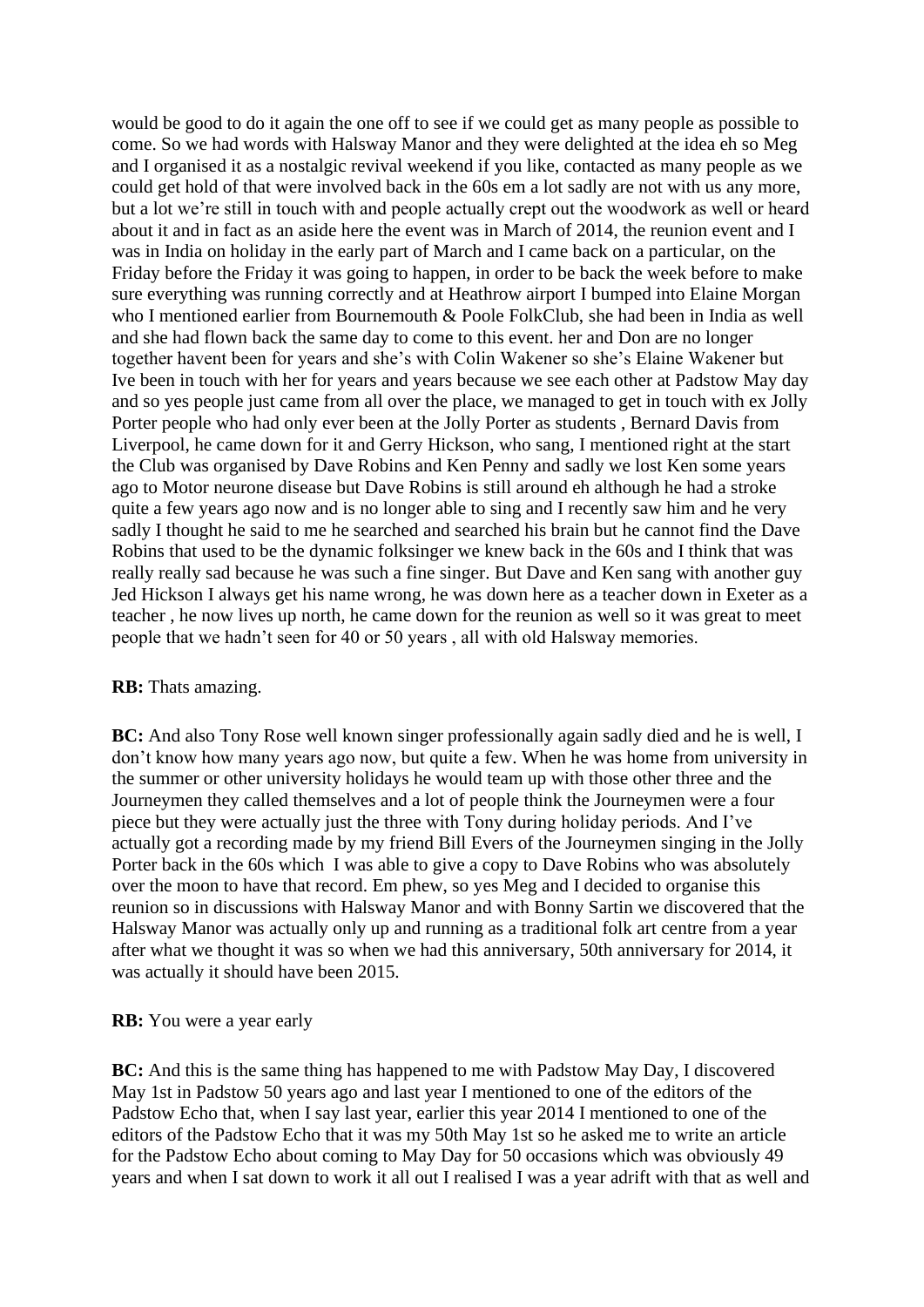would be good to do it again the one off to see if we could get as many people as possible to come. So we had words with Halsway Manor and they were delighted at the idea eh so Meg and I organised it as a nostalgic revival weekend if you like, contacted as many people as we could get hold of that were involved back in the 60s em a lot sadly are not with us any more, but a lot we're still in touch with and people actually crept out the woodwork as well or heard about it and in fact as an aside here the event was in March of 2014, the reunion event and I was in India on holiday in the early part of March and I came back on a particular, on the Friday before the Friday it was going to happen, in order to be back the week before to make sure everything was running correctly and at Heathrow airport I bumped into Elaine Morgan who I mentioned earlier from Bournemouth & Poole FolkClub, she had been in India as well and she had flown back the same day to come to this event. her and Don are no longer together havent been for years and she's with Colin Wakener so she's Elaine Wakener but Ive been in touch with her for years and years because we see each other at Padstow May day and so yes people just came from all over the place, we managed to get in touch with ex Jolly Porter people who had only ever been at the Jolly Porter as students , Bernard Davis from Liverpool, he came down for it and Gerry Hickson, who sang, I mentioned right at the start the Club was organised by Dave Robins and Ken Penny and sadly we lost Ken some years ago to Motor neurone disease but Dave Robins is still around eh although he had a stroke quite a few years ago now and is no longer able to sing and I recently saw him and he very sadly I thought he said to me he searched and searched his brain but he cannot find the Dave Robins that used to be the dynamic folksinger we knew back in the 60s and I think that was really really sad because he was such a fine singer. But Dave and Ken sang with another guy Jed Hickson I always get his name wrong, he was down here as a teacher down in Exeter as a teacher , he now lives up north, he came down for the reunion as well so it was great to meet people that we hadn't seen for 40 or 50 years , all with old Halsway memories.

#### **RB:** Thats amazing.

**BC:** And also Tony Rose well known singer professionally again sadly died and he is well, I don't know how many years ago now, but quite a few. When he was home from university in the summer or other university holidays he would team up with those other three and the Journeymen they called themselves and a lot of people think the Journeymen were a four piece but they were actually just the three with Tony during holiday periods. And I've actually got a recording made by my friend Bill Evers of the Journeymen singing in the Jolly Porter back in the 60s which I was able to give a copy to Dave Robins who was absolutely over the moon to have that record. Em phew, so yes Meg and I decided to organise this reunion so in discussions with Halsway Manor and with Bonny Sartin we discovered that the Halsway Manor was actually only up and running as a traditional folk art centre from a year after what we thought it was so when we had this anniversary, 50th anniversary for 2014, it was actually it should have been 2015.

## **RB:** You were a year early

**BC:** And this is the same thing has happened to me with Padstow May Day, I discovered May 1st in Padstow 50 years ago and last year I mentioned to one of the editors of the Padstow Echo that, when I say last year, earlier this year 2014 I mentioned to one of the editors of the Padstow Echo that it was my 50th May 1st so he asked me to write an article for the Padstow Echo about coming to May Day for 50 occasions which was obviously 49 years and when I sat down to work it all out I realised I was a year adrift with that as well and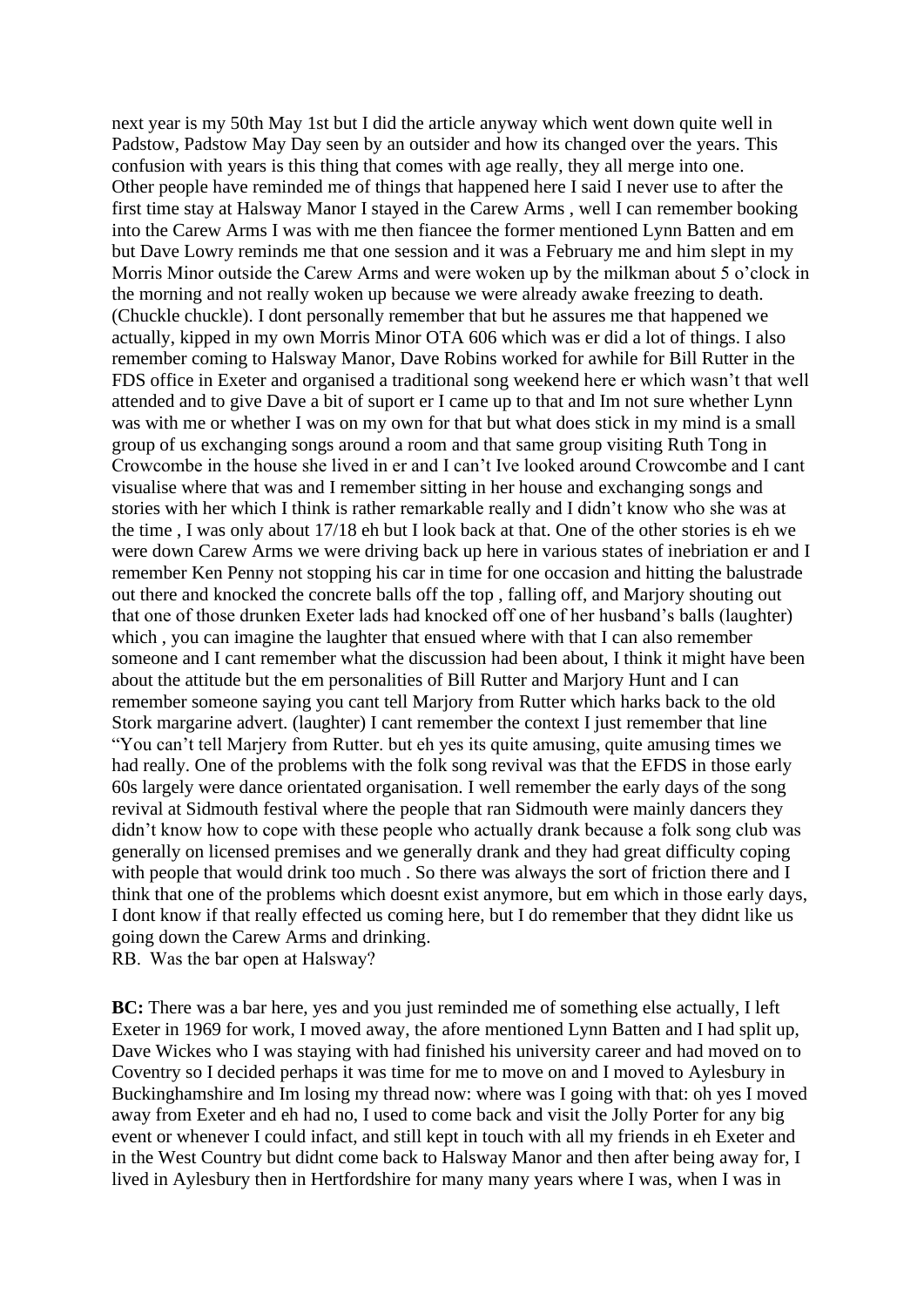next year is my 50th May 1st but I did the article anyway which went down quite well in Padstow, Padstow May Day seen by an outsider and how its changed over the years. This confusion with years is this thing that comes with age really, they all merge into one. Other people have reminded me of things that happened here I said I never use to after the first time stay at Halsway Manor I stayed in the Carew Arms , well I can remember booking into the Carew Arms I was with me then fiancee the former mentioned Lynn Batten and em but Dave Lowry reminds me that one session and it was a February me and him slept in my Morris Minor outside the Carew Arms and were woken up by the milkman about 5 o'clock in the morning and not really woken up because we were already awake freezing to death. (Chuckle chuckle). I dont personally remember that but he assures me that happened we actually, kipped in my own Morris Minor OTA 606 which was er did a lot of things. I also remember coming to Halsway Manor, Dave Robins worked for awhile for Bill Rutter in the FDS office in Exeter and organised a traditional song weekend here er which wasn't that well attended and to give Dave a bit of suport er I came up to that and Im not sure whether Lynn was with me or whether I was on my own for that but what does stick in my mind is a small group of us exchanging songs around a room and that same group visiting Ruth Tong in Crowcombe in the house she lived in er and I can't Ive looked around Crowcombe and I cant visualise where that was and I remember sitting in her house and exchanging songs and stories with her which I think is rather remarkable really and I didn't know who she was at the time , I was only about 17/18 eh but I look back at that. One of the other stories is eh we were down Carew Arms we were driving back up here in various states of inebriation er and I remember Ken Penny not stopping his car in time for one occasion and hitting the balustrade out there and knocked the concrete balls off the top , falling off, and Marjory shouting out that one of those drunken Exeter lads had knocked off one of her husband's balls (laughter) which , you can imagine the laughter that ensued where with that I can also remember someone and I cant remember what the discussion had been about, I think it might have been about the attitude but the em personalities of Bill Rutter and Marjory Hunt and I can remember someone saying you cant tell Marjory from Rutter which harks back to the old Stork margarine advert. (laughter) I cant remember the context I just remember that line "You can't tell Marjery from Rutter. but eh yes its quite amusing, quite amusing times we had really. One of the problems with the folk song revival was that the EFDS in those early 60s largely were dance orientated organisation. I well remember the early days of the song revival at Sidmouth festival where the people that ran Sidmouth were mainly dancers they didn't know how to cope with these people who actually drank because a folk song club was generally on licensed premises and we generally drank and they had great difficulty coping with people that would drink too much . So there was always the sort of friction there and I think that one of the problems which doesnt exist anymore, but em which in those early days, I dont know if that really effected us coming here, but I do remember that they didnt like us going down the Carew Arms and drinking.

RB.  Was the bar open at Halsway?

**BC:** There was a bar here, yes and you just reminded me of something else actually, I left Exeter in 1969 for work, I moved away, the afore mentioned Lynn Batten and I had split up, Dave Wickes who I was staying with had finished his university career and had moved on to Coventry so I decided perhaps it was time for me to move on and I moved to Aylesbury in Buckinghamshire and Im losing my thread now: where was I going with that: oh yes I moved away from Exeter and eh had no, I used to come back and visit the Jolly Porter for any big event or whenever I could infact, and still kept in touch with all my friends in eh Exeter and in the West Country but didnt come back to Halsway Manor and then after being away for, I lived in Aylesbury then in Hertfordshire for many many years where I was, when I was in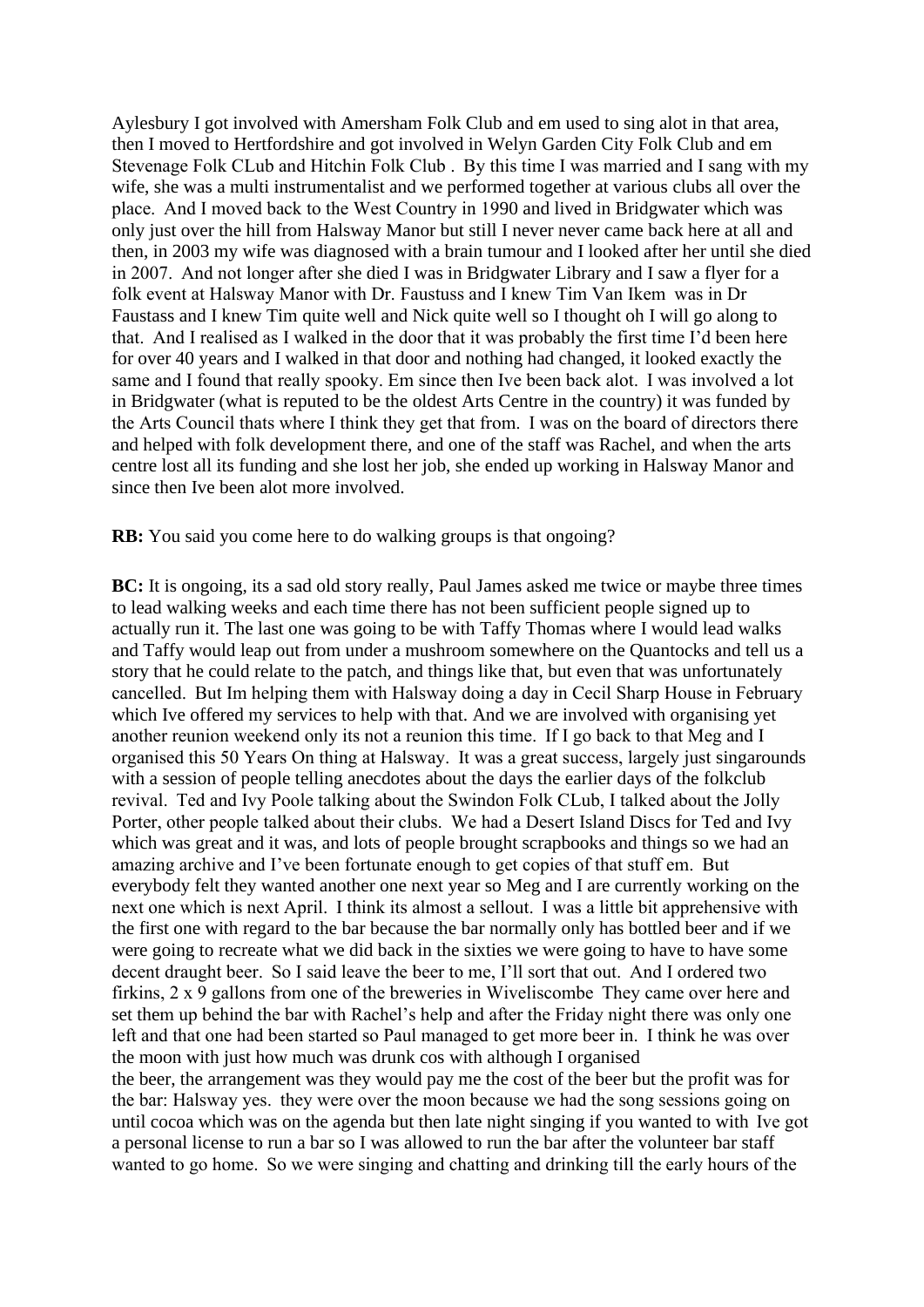Aylesbury I got involved with Amersham Folk Club and em used to sing alot in that area, then I moved to Hertfordshire and got involved in Welyn Garden City Folk Club and em Stevenage Folk CLub and Hitchin Folk Club .  By this time I was married and I sang with my wife, she was a multi instrumentalist and we performed together at various clubs all over the place.  And I moved back to the West Country in 1990 and lived in Bridgwater which was only just over the hill from Halsway Manor but still I never never came back here at all and then, in 2003 my wife was diagnosed with a brain tumour and I looked after her until she died in 2007.  And not longer after she died I was in Bridgwater Library and I saw a flyer for a folk event at Halsway Manor with Dr. Faustuss and I knew Tim Van Ikem  was in Dr Faustass and I knew Tim quite well and Nick quite well so I thought oh I will go along to that.  And I realised as I walked in the door that it was probably the first time I'd been here for over 40 years and I walked in that door and nothing had changed, it looked exactly the same and I found that really spooky. Em since then Ive been back alot.  I was involved a lot in Bridgwater (what is reputed to be the oldest Arts Centre in the country) it was funded by the Arts Council thats where I think they get that from.  I was on the board of directors there and helped with folk development there, and one of the staff was Rachel, and when the arts centre lost all its funding and she lost her job, she ended up working in Halsway Manor and since then Ive been alot more involved.

**RB:** You said you come here to do walking groups is that ongoing?

**BC:** It is ongoing, its a sad old story really, Paul James asked me twice or maybe three times to lead walking weeks and each time there has not been sufficient people signed up to actually run it. The last one was going to be with Taffy Thomas where I would lead walks and Taffy would leap out from under a mushroom somewhere on the Quantocks and tell us a story that he could relate to the patch, and things like that, but even that was unfortunately cancelled.  But Im helping them with Halsway doing a day in Cecil Sharp House in February which Ive offered my services to help with that. And we are involved with organising yet another reunion weekend only its not a reunion this time.  If I go back to that Meg and I organised this 50 Years On thing at Halsway.  It was a great success, largely just singarounds with a session of people telling anecdotes about the days the earlier days of the folkclub revival.  Ted and Ivy Poole talking about the Swindon Folk CLub, I talked about the Jolly Porter, other people talked about their clubs.  We had a Desert Island Discs for Ted and Ivy which was great and it was, and lots of people brought scrapbooks and things so we had an amazing archive and I've been fortunate enough to get copies of that stuff em.  But everybody felt they wanted another one next year so Meg and I are currently working on the next one which is next April.  I think its almost a sellout.  I was a little bit apprehensive with the first one with regard to the bar because the bar normally only has bottled beer and if we were going to recreate what we did back in the sixties we were going to have to have some decent draught beer.  So I said leave the beer to me, I'll sort that out.  And I ordered two firkins, 2 x 9 gallons from one of the breweries in Wiveliscombe  They came over here and set them up behind the bar with Rachel's help and after the Friday night there was only one left and that one had been started so Paul managed to get more beer in.  I think he was over the moon with just how much was drunk cos with although I organised the beer, the arrangement was they would pay me the cost of the beer but the profit was for the bar: Halsway yes.  they were over the moon because we had the song sessions going on until cocoa which was on the agenda but then late night singing if you wanted to with  Ive got a personal license to run a bar so I was allowed to run the bar after the volunteer bar staff wanted to go home.  So we were singing and chatting and drinking till the early hours of the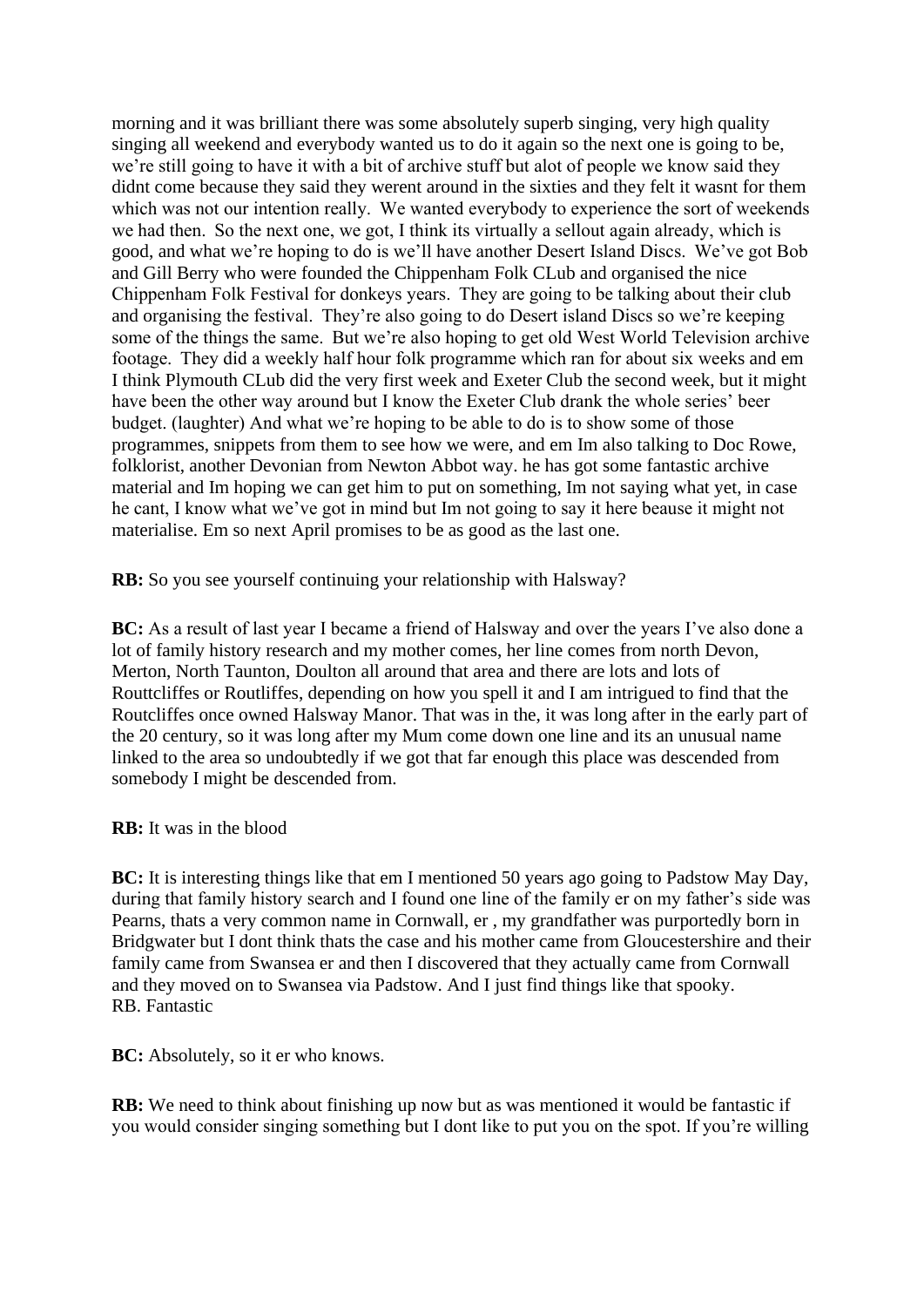morning and it was brilliant there was some absolutely superb singing, very high quality singing all weekend and everybody wanted us to do it again so the next one is going to be, we're still going to have it with a bit of archive stuff but alot of people we know said they didnt come because they said they werent around in the sixties and they felt it wasnt for them which was not our intention really.  We wanted everybody to experience the sort of weekends we had then.  So the next one, we got, I think its virtually a sellout again already, which is good, and what we're hoping to do is we'll have another Desert Island Discs.  We've got Bob and Gill Berry who were founded the Chippenham Folk CLub and organised the nice Chippenham Folk Festival for donkeys years.  They are going to be talking about their club and organising the festival.  They're also going to do Desert island Discs so we're keeping some of the things the same.  But we're also hoping to get old West World Television archive footage.  They did a weekly half hour folk programme which ran for about six weeks and em I think Plymouth CLub did the very first week and Exeter Club the second week, but it might have been the other way around but I know the Exeter Club drank the whole series' beer budget. (laughter) And what we're hoping to be able to do is to show some of those programmes, snippets from them to see how we were, and em Im also talking to Doc Rowe, folklorist, another Devonian from Newton Abbot way. he has got some fantastic archive material and Im hoping we can get him to put on something, Im not saying what yet, in case he cant, I know what we've got in mind but Im not going to say it here beause it might not materialise. Em so next April promises to be as good as the last one.

**RB:** So you see yourself continuing your relationship with Halsway?

**BC:** As a result of last year I became a friend of Halsway and over the years I've also done a lot of family history research and my mother comes, her line comes from north Devon, Merton, North Taunton, Doulton all around that area and there are lots and lots of Routtcliffes or Routliffes, depending on how you spell it and I am intrigued to find that the Routcliffes once owned Halsway Manor. That was in the, it was long after in the early part of the 20 century, so it was long after my Mum come down one line and its an unusual name linked to the area so undoubtedly if we got that far enough this place was descended from somebody I might be descended from.

# **RB:** It was in the blood

**BC:** It is interesting things like that em I mentioned 50 years ago going to Padstow May Day, during that family history search and I found one line of the family er on my father's side was Pearns, thats a very common name in Cornwall, er , my grandfather was purportedly born in Bridgwater but I dont think thats the case and his mother came from Gloucestershire and their family came from Swansea er and then I discovered that they actually came from Cornwall and they moved on to Swansea via Padstow. And I just find things like that spooky. RB. Fantastic

**BC:** Absolutely, so it er who knows.

**RB:** We need to think about finishing up now but as was mentioned it would be fantastic if you would consider singing something but I dont like to put you on the spot. If you're willing